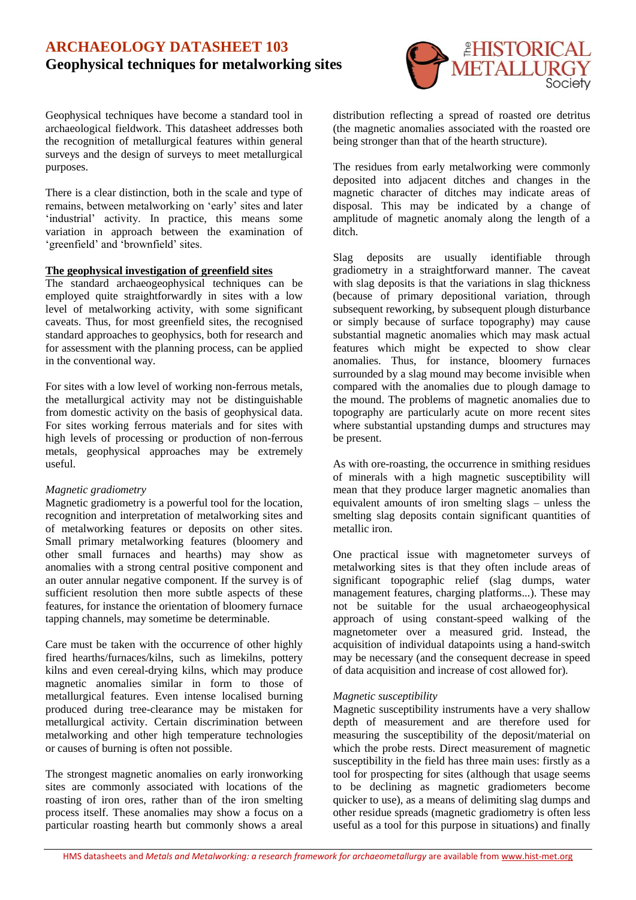# **ARCHAEOLOGY DATASHEET 103 Geophysical techniques for metalworking sites**



Geophysical techniques have become a standard tool in archaeological fieldwork. This datasheet addresses both the recognition of metallurgical features within general surveys and the design of surveys to meet metallurgical purposes.

There is a clear distinction, both in the scale and type of remains, between metalworking on 'early' sites and later 'industrial' activity. In practice, this means some variation in approach between the examination of 'greenfield' and 'brownfield' sites.

## **The geophysical investigation of greenfield sites**

The standard archaeogeophysical techniques can be employed quite straightforwardly in sites with a low level of metalworking activity, with some significant caveats. Thus, for most greenfield sites, the recognised standard approaches to geophysics, both for research and for assessment with the planning process, can be applied in the conventional way.

For sites with a low level of working non-ferrous metals, the metallurgical activity may not be distinguishable from domestic activity on the basis of geophysical data. For sites working ferrous materials and for sites with high levels of processing or production of non-ferrous metals, geophysical approaches may be extremely useful.

### *Magnetic gradiometry*

Magnetic gradiometry is a powerful tool for the location, recognition and interpretation of metalworking sites and of metalworking features or deposits on other sites. Small primary metalworking features (bloomery and other small furnaces and hearths) may show as anomalies with a strong central positive component and an outer annular negative component. If the survey is of sufficient resolution then more subtle aspects of these features, for instance the orientation of bloomery furnace tapping channels, may sometime be determinable.

Care must be taken with the occurrence of other highly fired hearths/furnaces/kilns, such as limekilns, pottery kilns and even cereal-drying kilns, which may produce magnetic anomalies similar in form to those of metallurgical features. Even intense localised burning produced during tree-clearance may be mistaken for metallurgical activity. Certain discrimination between metalworking and other high temperature technologies or causes of burning is often not possible.

The strongest magnetic anomalies on early ironworking sites are commonly associated with locations of the roasting of iron ores, rather than of the iron smelting process itself. These anomalies may show a focus on a particular roasting hearth but commonly shows a areal distribution reflecting a spread of roasted ore detritus (the magnetic anomalies associated with the roasted ore being stronger than that of the hearth structure).

The residues from early metalworking were commonly deposited into adjacent ditches and changes in the magnetic character of ditches may indicate areas of disposal. This may be indicated by a change of amplitude of magnetic anomaly along the length of a ditch.

Slag deposits are usually identifiable through gradiometry in a straightforward manner. The caveat with slag deposits is that the variations in slag thickness (because of primary depositional variation, through subsequent reworking, by subsequent plough disturbance or simply because of surface topography) may cause substantial magnetic anomalies which may mask actual features which might be expected to show clear anomalies. Thus, for instance, bloomery furnaces surrounded by a slag mound may become invisible when compared with the anomalies due to plough damage to the mound. The problems of magnetic anomalies due to topography are particularly acute on more recent sites where substantial upstanding dumps and structures may be present.

As with ore-roasting, the occurrence in smithing residues of minerals with a high magnetic susceptibility will mean that they produce larger magnetic anomalies than equivalent amounts of iron smelting slags – unless the smelting slag deposits contain significant quantities of metallic iron.

One practical issue with magnetometer surveys of metalworking sites is that they often include areas of significant topographic relief (slag dumps, water management features, charging platforms...). These may not be suitable for the usual archaeogeophysical approach of using constant-speed walking of the magnetometer over a measured grid. Instead, the acquisition of individual datapoints using a hand-switch may be necessary (and the consequent decrease in speed of data acquisition and increase of cost allowed for).

#### *Magnetic susceptibility*

Magnetic susceptibility instruments have a very shallow depth of measurement and are therefore used for measuring the susceptibility of the deposit/material on which the probe rests. Direct measurement of magnetic susceptibility in the field has three main uses: firstly as a tool for prospecting for sites (although that usage seems to be declining as magnetic gradiometers become quicker to use), as a means of delimiting slag dumps and other residue spreads (magnetic gradiometry is often less useful as a tool for this purpose in situations) and finally